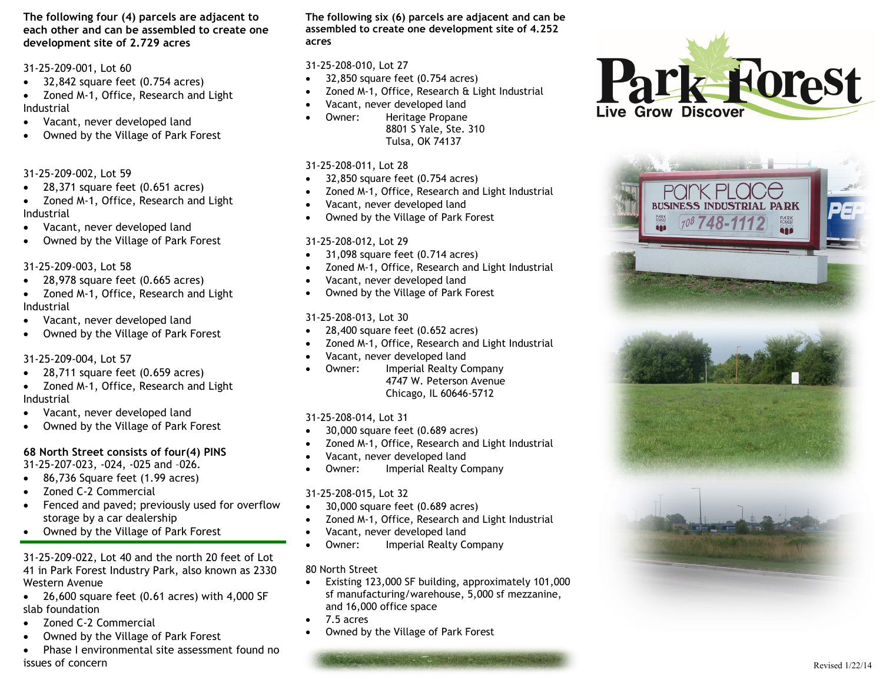**The following four (4) parcels are adjacent to each other and can be assembled to create one development site of 2.729 acres**

31 -25 -209 -001, Lot 60

- 32,842 square feet (0.754 acres)
- Zoned M-1, Office, Research and Light Industrial
- Vacant, never developed land
- Owned by the Village of Park Forest

31 -25 -209 -002, Lot 59

- $\bullet$  28,371 square feet (0.651 acres)
- Zoned M-1, Office, Research and Light Industrial
- Vacant, never developed land
- Owned by the Village of Park Forest

31 -25 -209 -003, Lot 58

- $\bullet$  28,978 square feet (0.665 acres)
- Zoned M-1, Office, Research and Light Industrial
- Vacant, never developed land
- Owned by the Village of Park Forest

## 31 -25 -209 -004, Lot 57

- $\bullet$  28,711 square feet (0.659 acres)
- Zoned M-1, Office, Research and Light Industrial
- Vacant, never developed land
- Owned by the Village of Park Forest

## **68 North Street consists of four(4) PINS**

31 -25 -207 -023, -024, -025 and –026.

- 86,736 Square feet (1.99 acres)
- Zoned C-2 Commercial
- Fenced and paved; previously used for overflow storage by a car dealership
- Owned by the Village of Park Forest

31 -25 -209 -022, Lot 40 and the north 20 feet of Lot 41 in Park Forest Industry Park, also known as 2330 Western Avenue

- $\bullet$  26,600 square feet (0.61 acres) with 4,000 SF slab foundation
- Zoned C-2 Commercial
- Owned by the Village of Park Forest
- Phase I environmental site assessment found no issues of concern

**The following six (6) parcels are adjacent and can be assembled to create one development site of 4.252 acres**

## 31 -25 -208 -010, Lot 27

- 32,850 square feet (0.754 acres)
- Zoned M-1, Office, Research & Light Industrial
- Vacant, never developed land
- Owner: Heritage Propane 8801 S Yale, Ste. 310 Tulsa, OK 74137

## 31 -25 -208 -011, Lot 28

- $\bullet$  32,850 square feet (0.754 acres)
- Zoned M-1, Office, Research and Light Industrial
- Vacant, never developed land
- Owned by the Village of Park Forest

## 31 -25 -208 -012, Lot 29

- 31,098 square feet (0.714 acres)
- Zoned M-1, Office, Research and Light Industrial
- Vacant, never developed land
- Owned by the Village of Park Forest

## 31 -25 -208 -013, Lot 30

- $\bullet$  28,400 square feet (0.652 acres)
- Zoned M-1, Office, Research and Light Industrial
- Vacant, never developed land
- Owner: Imperial Realty Company 4747 W. Peterson Avenue Chicago, IL 60646 -5712

## 31 -25 -208 -014, Lot 31

- $\bullet$  30,000 square feet (0.689 acres)
- Zoned M-1, Office, Research and Light Industrial
- Vacant, never developed land
- Owner: Imperial Realty Company

## 31 -25 -208 -015, Lot 32

- $\bullet$  30,000 square feet (0.689 acres)
- Zoned M-1, Office, Research and Light Industrial
- Vacant, never developed land
- Owner: Imperial Realty Company

## 80 North Street

- Existing 123,000 SF building, approximately 101,000 sf manufacturing/warehouse, 5,000 sf mezzanine, and 16,000 office space
- 7.5 acres
- Owned by the Village of Park Forest





Revised 1/22/14